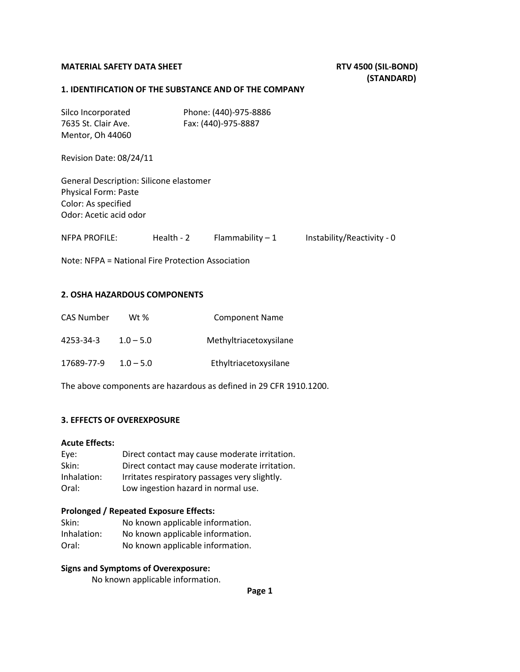# MATERIAL SAFETY DATA SHEET **RTV 4500 (SIL-BOND)**

# **(STANDARD)**

#### **1. IDENTIFICATION OF THE SUBSTANCE AND OF THE COMPANY**

| Silco Incorporated<br>7635 St. Clair Ave.<br>Mentor, Oh 44060                                                           |              | Phone: (440)-975-8886<br>Fax: (440)-975-8887 |                            |
|-------------------------------------------------------------------------------------------------------------------------|--------------|----------------------------------------------|----------------------------|
| Revision Date: 08/24/11                                                                                                 |              |                                              |                            |
| General Description: Silicone elastomer<br><b>Physical Form: Paste</b><br>Color: As specified<br>Odor: Acetic acid odor |              |                                              |                            |
| <b>NFPA PROFILE:</b>                                                                                                    | Health - $2$ | Flammability $-1$                            | Instability/Reactivity - 0 |
| Note: NFPA = National Fire Protection Association                                                                       |              |                                              |                            |

# **2. OSHA HAZARDOUS COMPONENTS**

| <b>CAS Number</b> | Wt %        | <b>Component Name</b>  |
|-------------------|-------------|------------------------|
| 4253-34-3         | $1.0 - 5.0$ | Methyltriacetoxysilane |
| 17689-77-9        | $1.0 - 5.0$ | Ethyltriacetoxysilane  |

The above components are hazardous as defined in 29 CFR 1910.1200.

# **3. EFFECTS OF OVEREXPOSURE**

# **Acute Effects:**

| Eye:        | Direct contact may cause moderate irritation. |
|-------------|-----------------------------------------------|
| Skin:       | Direct contact may cause moderate irritation. |
| Inhalation: | Irritates respiratory passages very slightly. |
| Oral:       | Low ingestion hazard in normal use.           |

#### **Prolonged / Repeated Exposure Effects:**

| Skin:       | No known applicable information. |
|-------------|----------------------------------|
| Inhalation: | No known applicable information. |
| Oral:       | No known applicable information. |

# **Signs and Symptoms of Overexposure:**

No known applicable information.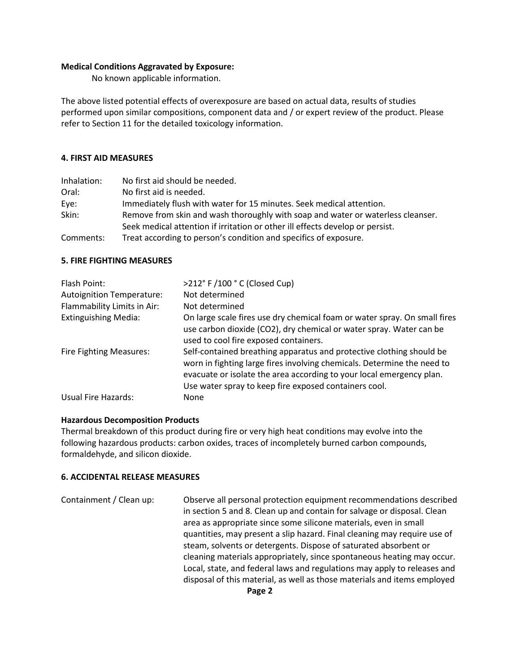### **Medical Conditions Aggravated by Exposure:**

No known applicable information.

The above listed potential effects of overexposure are based on actual data, results of studies performed upon similar compositions, component data and / or expert review of the product. Please refer to Section 11 for the detailed toxicology information.

#### **4. FIRST AID MEASURES**

| Inhalation: | No first aid should be needed.                                                  |
|-------------|---------------------------------------------------------------------------------|
| Oral:       | No first aid is needed.                                                         |
| Eye:        | Immediately flush with water for 15 minutes. Seek medical attention.            |
| Skin:       | Remove from skin and wash thoroughly with soap and water or waterless cleanser. |
|             | Seek medical attention if irritation or other ill effects develop or persist.   |
| Comments:   | Treat according to person's condition and specifics of exposure.                |

#### **5. FIRE FIGHTING MEASURES**

| Flash Point:                     | >212° F /100 ° C (Closed Cup)                                                                                                                                                                                                                                                    |
|----------------------------------|----------------------------------------------------------------------------------------------------------------------------------------------------------------------------------------------------------------------------------------------------------------------------------|
| <b>Autoignition Temperature:</b> | Not determined                                                                                                                                                                                                                                                                   |
| Flammability Limits in Air:      | Not determined                                                                                                                                                                                                                                                                   |
| <b>Extinguishing Media:</b>      | On large scale fires use dry chemical foam or water spray. On small fires<br>use carbon dioxide (CO2), dry chemical or water spray. Water can be<br>used to cool fire exposed containers.                                                                                        |
| <b>Fire Fighting Measures:</b>   | Self-contained breathing apparatus and protective clothing should be<br>worn in fighting large fires involving chemicals. Determine the need to<br>evacuate or isolate the area according to your local emergency plan.<br>Use water spray to keep fire exposed containers cool. |
| Usual Fire Hazards:              | None                                                                                                                                                                                                                                                                             |

# **Hazardous Decomposition Products**

Thermal breakdown of this product during fire or very high heat conditions may evolve into the following hazardous products: carbon oxides, traces of incompletely burned carbon compounds, formaldehyde, and silicon dioxide.

#### **6. ACCIDENTAL RELEASE MEASURES**

Containment / Clean up: Observe all personal protection equipment recommendations described in section 5 and 8. Clean up and contain for salvage or disposal. Clean area as appropriate since some silicone materials, even in small quantities, may present a slip hazard. Final cleaning may require use of steam, solvents or detergents. Dispose of saturated absorbent or cleaning materials appropriately, since spontaneous heating may occur. Local, state, and federal laws and regulations may apply to releases and disposal of this material, as well as those materials and items employed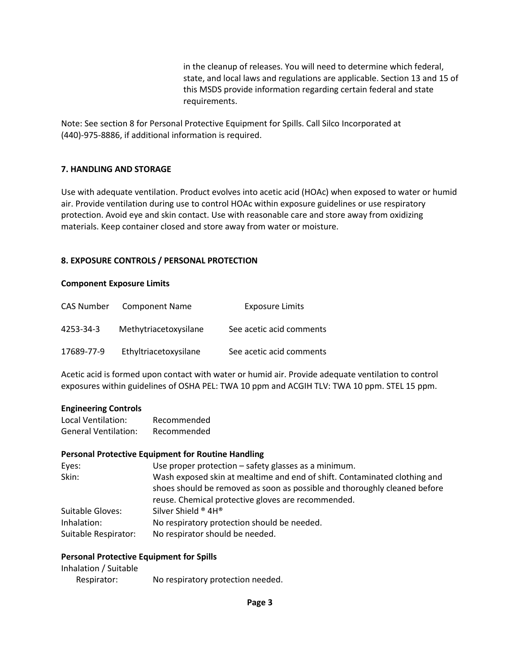in the cleanup of releases. You will need to determine which federal, state, and local laws and regulations are applicable. Section 13 and 15 of this MSDS provide information regarding certain federal and state requirements.

Note: See section 8 for Personal Protective Equipment for Spills. Call Silco Incorporated at (440)-975-8886, if additional information is required.

# **7. HANDLING AND STORAGE**

Use with adequate ventilation. Product evolves into acetic acid (HOAc) when exposed to water or humid air. Provide ventilation during use to control HOAc within exposure guidelines or use respiratory protection. Avoid eye and skin contact. Use with reasonable care and store away from oxidizing materials. Keep container closed and store away from water or moisture.

#### **8. EXPOSURE CONTROLS / PERSONAL PROTECTION**

#### **Component Exposure Limits**

| CAS Number | <b>Component Name</b> | <b>Exposure Limits</b>   |
|------------|-----------------------|--------------------------|
| 4253-34-3  | Methytriacetoxysilane | See acetic acid comments |
| 17689-77-9 | Ethyltriacetoxysilane | See acetic acid comments |

Acetic acid is formed upon contact with water or humid air. Provide adequate ventilation to control exposures within guidelines of OSHA PEL: TWA 10 ppm and ACGIH TLV: TWA 10 ppm. STEL 15 ppm.

#### **Engineering Controls**

| Local Ventilation:          | Recommended |
|-----------------------------|-------------|
| <b>General Ventilation:</b> | Recommended |

#### **Personal Protective Equipment for Routine Handling**

| Eyes:                | Use proper protection – safety glasses as a minimum.                      |
|----------------------|---------------------------------------------------------------------------|
| Skin:                | Wash exposed skin at mealtime and end of shift. Contaminated clothing and |
|                      | shoes should be removed as soon as possible and thoroughly cleaned before |
|                      | reuse. Chemical protective gloves are recommended.                        |
| Suitable Gloves:     | Silver Shield ® 4H®                                                       |
| Inhalation:          | No respiratory protection should be needed.                               |
| Suitable Respirator: | No respirator should be needed.                                           |

#### **Personal Protective Equipment for Spills**

| Inhalation / Suitable |                                   |
|-----------------------|-----------------------------------|
| Respirator:           | No respiratory protection needed. |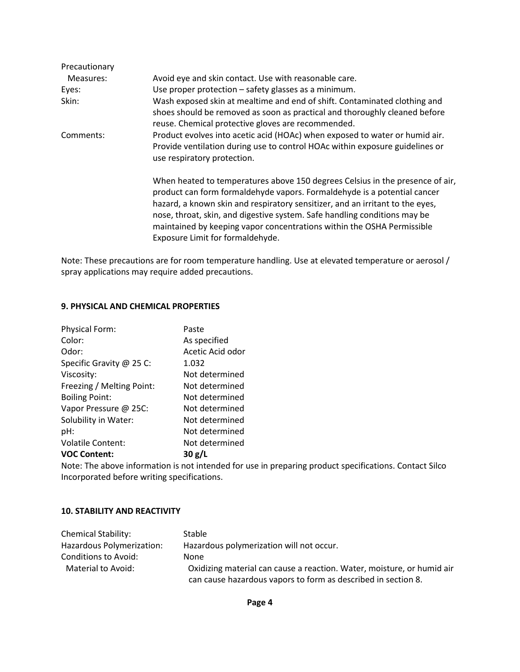| Precautionary |                                                                                                                                                                                                                                                                                                                                                                                                                                       |
|---------------|---------------------------------------------------------------------------------------------------------------------------------------------------------------------------------------------------------------------------------------------------------------------------------------------------------------------------------------------------------------------------------------------------------------------------------------|
| Measures:     | Avoid eye and skin contact. Use with reasonable care.                                                                                                                                                                                                                                                                                                                                                                                 |
| Eyes:         | Use proper protection - safety glasses as a minimum.                                                                                                                                                                                                                                                                                                                                                                                  |
| Skin:         | Wash exposed skin at mealtime and end of shift. Contaminated clothing and<br>shoes should be removed as soon as practical and thoroughly cleaned before<br>reuse. Chemical protective gloves are recommended.                                                                                                                                                                                                                         |
| Comments:     | Product evolves into acetic acid (HOAc) when exposed to water or humid air.<br>Provide ventilation during use to control HOAc within exposure guidelines or<br>use respiratory protection.                                                                                                                                                                                                                                            |
|               | When heated to temperatures above 150 degrees Celsius in the presence of air,<br>product can form formaldehyde vapors. Formaldehyde is a potential cancer<br>hazard, a known skin and respiratory sensitizer, and an irritant to the eyes,<br>nose, throat, skin, and digestive system. Safe handling conditions may be<br>maintained by keeping vapor concentrations within the OSHA Permissible<br>Exposure Limit for formaldehyde. |

Note: These precautions are for room temperature handling. Use at elevated temperature or aerosol / spray applications may require added precautions.

## **9. PHYSICAL AND CHEMICAL PROPERTIES**

| Paste            |
|------------------|
| As specified     |
| Acetic Acid odor |
| 1.032            |
| Not determined   |
| Not determined   |
| Not determined   |
| Not determined   |
| Not determined   |
| Not determined   |
| Not determined   |
| 30 g/L           |
|                  |

Note: The above information is not intended for use in preparing product specifications. Contact Silco Incorporated before writing specifications.

#### **10. STABILITY AND REACTIVITY**

| <b>Chemical Stability:</b> | <b>Stable</b>                                                          |
|----------------------------|------------------------------------------------------------------------|
| Hazardous Polymerization:  | Hazardous polymerization will not occur.                               |
| Conditions to Avoid:       | None                                                                   |
| Material to Avoid:         | Oxidizing material can cause a reaction. Water, moisture, or humid air |
|                            | can cause hazardous vapors to form as described in section 8.          |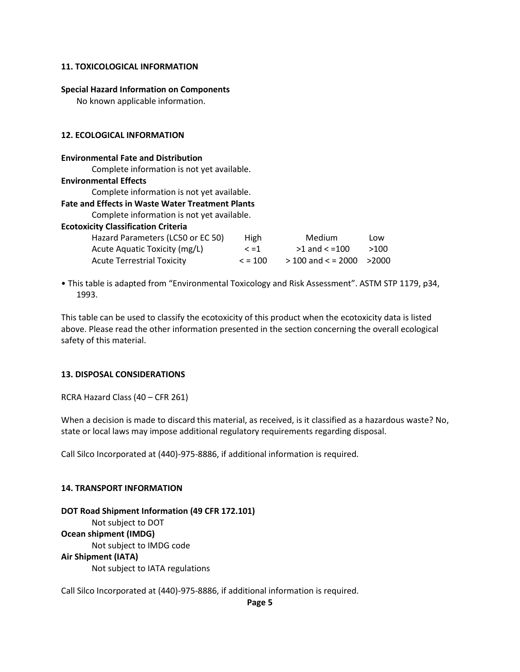# **11. TOXICOLOGICAL INFORMATION**

#### **Special Hazard Information on Components**

No known applicable information.

#### **12. ECOLOGICAL INFORMATION**

#### **Environmental Fate and Distribution**

Complete information is not yet available.

#### **Environmental Effects**

Complete information is not yet available.

# **Fate and Effects in Waste Water Treatment Plants**

Complete information is not yet available.

| Hazard Parameters (LC50 or EC 50) | High         | Medium                        | Low  |
|-----------------------------------|--------------|-------------------------------|------|
| Acute Aquatic Toxicity (mg/L)     | $\leq$ =1    | $>1$ and $< =100$             | >100 |
| <b>Acute Terrestrial Toxicity</b> | $\leq$ = 100 | $>$ 100 and < = 2000 $>$ 2000 |      |

• This table is adapted from "Environmental Toxicology and Risk Assessment". ASTM STP 1179, p34, 1993.

This table can be used to classify the ecotoxicity of this product when the ecotoxicity data is listed above. Please read the other information presented in the section concerning the overall ecological safety of this material.

# **13. DISPOSAL CONSIDERATIONS**

RCRA Hazard Class (40 – CFR 261)

When a decision is made to discard this material, as received, is it classified as a hazardous waste? No, state or local laws may impose additional regulatory requirements regarding disposal.

Call Silco Incorporated at (440)-975-8886, if additional information is required.

#### **14. TRANSPORT INFORMATION**

# **DOT Road Shipment Information (49 CFR 172.101)**

Not subject to DOT

#### **Ocean shipment (IMDG)**

Not subject to IMDG code

#### **Air Shipment (IATA)**

Not subject to IATA regulations

Call Silco Incorporated at (440)-975-8886, if additional information is required.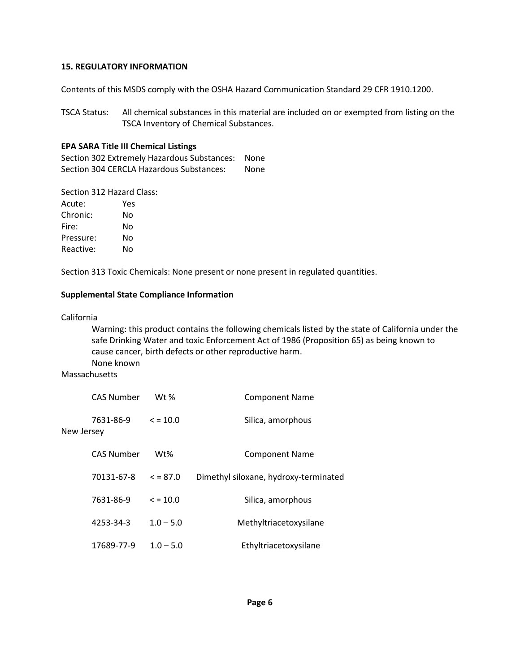#### **15. REGULATORY INFORMATION**

Contents of this MSDS comply with the OSHA Hazard Communication Standard 29 CFR 1910.1200.

TSCA Status: All chemical substances in this material are included on or exempted from listing on the TSCA Inventory of Chemical Substances.

## **EPA SARA Title III Chemical Listings**

Section 302 Extremely Hazardous Substances: None Section 304 CERCLA Hazardous Substances: None

Section 312 Hazard Class:

| Acute:    | Yes |
|-----------|-----|
| Chronic:  | No  |
| Fire:     | N٥  |
| Pressure: | No  |
| Reactive: | N٥  |

Section 313 Toxic Chemicals: None present or none present in regulated quantities.

#### **Supplemental State Compliance Information**

California

Warning: this product contains the following chemicals listed by the state of California under the safe Drinking Water and toxic Enforcement Act of 1986 (Proposition 65) as being known to cause cancer, birth defects or other reproductive harm. None known

**Massachusetts** 

|            | <b>CAS Number</b> | $Wt$ %        | <b>Component Name</b>                 |
|------------|-------------------|---------------|---------------------------------------|
| New Jersey | 7631-86-9         | $\le$ = 10.0  | Silica, amorphous                     |
|            | <b>CAS Number</b> | Wt%           | <b>Component Name</b>                 |
|            | 70131-67-8        | $\leq$ = 87.0 | Dimethyl siloxane, hydroxy-terminated |
|            | 7631-86-9         | $\le$ = 10.0  | Silica, amorphous                     |
|            | 4253-34-3         | $1.0 - 5.0$   | Methyltriacetoxysilane                |
|            | 17689-77-9        | $1.0 - 5.0$   | Ethyltriacetoxysilane                 |